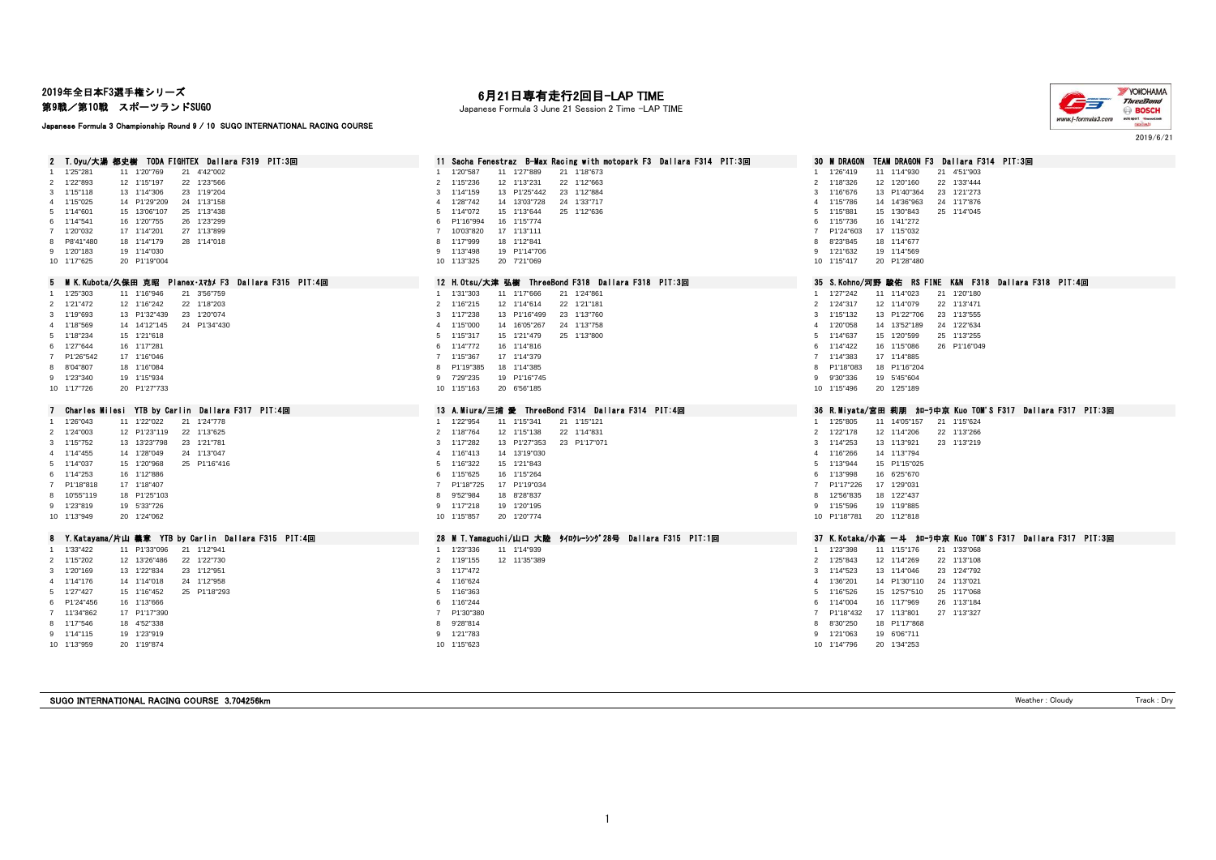#### 2019年全日本F3選手権シリーズ

第9戦/第10戦 スポーツランドSUGO

Japanese Formula 3 Championship Round 9 / 10 SUGO INTERNATIONAL RACING COURSE

## 月21日専有走行2回目-LAP TIME

Japanese Formula 3 June 21 Session 2 Time -LAP TIME



2 T.Oyu/大湯 都史樹 TODA FIGHTEX Dallara F319 PIT:3回 11 Sacha Fenestraz B-Max Racing with motopark F3 Dallara F314 PIT:3回 30 M DRAGON TEAM DRAGON F3 Dallara F314 PIT:3回 21 4'42'003<br>1 1'25'281 11 1'20'769 21 4'42'002 1'25"281 11 1'20"769 21 4'42"002 1 1'20"587 11 1'27"889 21 1'18"673 1 1'26"419 11 1'14"930 21 4'51"903 1'22"893 12 1'15"197 22 1'23"566 2 1'15"236 12 1'13"231 22 1'12"663 2 1'18"326 12 1'20"160 22 1'33"444 3 1'15"118 13 1'14"306 23 1'19"204<br>3 1'15"025 14 P1'29"209 24 1'13"158 3 24 3'12"10" 4 1'28"742 14 13'03"728 24 1'33"717 31 31 31 31 31 31 4 4'15"766 14 14'36"963 24 1'17"876 1'15"025 14 P1'29"209 24 1'13"158 4 1'28"742 14 13'03"728 24 1'33"717 4 1'15"786 14 14'36"963 24 1'17"876 1'14"601 15 13'06"107 25 1'13"438 5 1'14"072 15 1'13"644 25 1'12"636 5 1'15"881 15 1'30"843 25 1'14"045 1'14"541 16 1'20"755 26 1'23"299 6 P1'16"994 16 1'15"774 6 1'15"736 16 1'41"272 1'20"032 17 1'14"201 27 1'13"899 7 10'03"820 17 1'13"111 7 P1'24"603 17 1'15"032 P8'41"480 18 1'14"179 28 1'14"018 8 1'17"999 18 1'12"841 8 8'23"845 18 1'14"677 1'20"183 19 1'14"030 9 1'13"498 19 P1'14"706 9 1'21"632 19 1'14"569 1'17"625 20 P1'19"004 10 1'13"325 20 7'21"069 10 1'15"417 20 P1'28"480 M K.Kubota/久保田 克昭 Planex・スマカメ F3 Dallara F315 PIT:4回 12 H.Otsu/大津 弘樹 ThreeBond F318 Dallara F318 PIT:3回 35 S.Kohno/河野 駿佑 RS FINE K&N F318 Dallara F318 PIT:4回 1'25"303 11 1'16"946 21 3'56"759 1 1'31"303 11 1'17"666 21 1'24"861 1 1'27"242 11 1'14"023 21 1'20"180 1'21"472 12 1'16"242 22 1'18"203 2 1'16"215 12 1'14"614 22 1'21"181 2 1'24"317 12 1'14"079 22 1'13"471 1'19"693 13 P1'32"439 23 1'20"074 3 1'17"238 13 P1'16"499 23 1'13"760 3 1'15"132 13 P1'22"706 23 1'13"555 1'18"569 14 14'12"145 24 P1'34"430 4 1'15"000 14 16'05"267 24 1'13"758 4 1'20"058 14 13'52"189 24 1'22"634 1'18"234 15 1'21"618 5 1'15"317 15 1'21"479 25 1'13"800 5 1'14"637 15 1'20"599 25 1'13"255 1'27"644 16 1'17"281 6 1'14"772 16 1'14"816 6 1'14"422 16 1'15"086 26 P1'16"049 P1'26"542 17 1'16"046 7 1'15"367 17 1'14"379 7 1'14"383 17 1'14"885 8'04"807 18 1'16"084 8 P1'19"385 18 1'14"385 8 P1'18"083 18 P1'16"204 1'23"340 19 1'15"934 9 7'29"235 19 P1'16"745 9 9'30"336 19 5'45"604 1'17"726 20 P1'27"733 10 1'15"163 20 6'56"185 10 1'15"496 20 1'25"189 7 Charles Milesi YTB by Carlin Dallara F317 PIT:4回 13 A.Miura/三浦 愛 ThreeBond F314 Dallara F314 PIT:4回 36 R.Mivata/宮田 莉朋 カローラ中京 Kuo TOM'S F317 Dallara F317 PIT:3回 1'26"043 11 1'22"022 21 1'24"778 1 1'22"954 11 1'15"341 21 1'15"121 1 1'25"805 11 14'05"157 21 1'15"624 1'24"003 12 P1'23"119 22 1'13"625 2 1'18"764 12 1'15"138 22 1'14"831 2 1'22"178 12 1'14"206 22 1'13"266 1'15"752 13 13'23"798 23 1'21"781 3 1'17"282 13 P1'27"353 23 P1'17"071 3 1'14"253 13 1'13"921 23 1'13"219 1'14"455 14 1'28"049 24 1'13"047 4 1'16"413 14 13'19"030 4 1'16"266 14 1'13"794 1'14"037 15 1'20"968 25 P1'16"416 5 1'16"322 15 1'21"843 5 1'13"944 15 P1'15"025 1'14"253 16 1'12"886 6 1'15"625 16 1'15"264 6 1'13"998 16 6'25"670 P1'18"818 17 1'18"407 7 P1'18"725 17 P1'19"034 7 P1'17"226 17 1'29"031 10'55"119 18 P1'25"103 8 9'52"984 18 8'28"837 8 12'56"835 18 1'22"437 1'23"819 19 5'33"726 9 1'17"218 19 1'20"195 9 1'15"596 19 1'19"885 1'13"949 20 1'24"062 10 1'15"857 20 1'20"774 10 P1'18"781 20 1'12"818 8 Y.Katayama/片山 義章 YTB by Carlin Dallara F315 PIT:4回 28 M T.Yamaguchi/山口 大陸 タイロクレーシング 28号 Dallara F315 PIT:1回 37 K.Kotaka/小高 一斗 カローラ中京 Kuo TOM'S F317 Dallara F317 PIT:3回 1'33"422 11 P1'33"096 21 1'12"941 1 1'23"336 11 1'14"939 1 1'23"398 11 1'15"176 21 1'33"068 2 1'15"202 12 13'26"486 22 1'22"730 2 2 2013 2020 2 1'19"155 12 11'35"389 2 2 113"108 2 108"1842 2 113"108 2 1<br>2 1'20'169 13 1'22"834 23 1'12'951 23 21'139'389 3 1'17'472 2 1'135"389 2 1'14"523 13 1'14"046 23 1'24"792 1'20"169 13 1'22"834 23 1'12"951 3 1'17"472 3 1'14"523 13 1'14"046 23 1'24"792 1'14"176 14 1'14"018 24 1'12"958 4 1'16"624 4 1'36"201 14 P1'30"110 24 1'13"021 1'27"427 15 1'16"452 25 P1'18"293 5 1'16"363 5 1'16"526 15 12'57"510 25 1'17"068 P1'24"456 16 1'13"666 6 1'16"244 6 1'14"004 16 1'17"969 26 1'13"184 11'34"862 17 P1'17"390 7 P1'30"380 7 P1'18"432 17 1'13"801 27 1'13"327 1'17"546 18 4'52"338 8 9'28"814 8 8'30"250 18 P1'17"868 1'14"115 19 1'23"919 9 1'21"783 9 1'21"063 19 6'06"711 1'13"959 20 1'19"874 10 1'15"623 10 1'14"796 20 1'34"253

SUGO INTERNATIONAL RACING COURSE 3.704256km Track : Dry Track : Dry Track : Dry